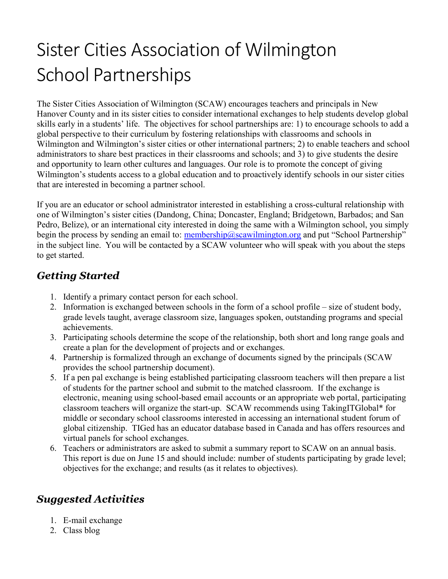## Sister Cities Association of Wilmington School Partnerships

The Sister Cities Association of Wilmington (SCAW) encourages teachers and principals in New Hanover County and in its sister cities to consider international exchanges to help students develop global skills early in a students' life. The objectives for school partnerships are: 1) to encourage schools to add a global perspective to their curriculum by fostering relationships with classrooms and schools in Wilmington and Wilmington's sister cities or other international partners; 2) to enable teachers and school administrators to share best practices in their classrooms and schools; and 3) to give students the desire and opportunity to learn other cultures and languages. Our role is to promote the concept of giving Wilmington's students access to a global education and to proactively identify schools in our sister cities that are interested in becoming a partner school.

If you are an educator or school administrator interested in establishing a cross-cultural relationship with one of Wilmington's sister cities (Dandong, China; Doncaster, England; Bridgetown, Barbados; and San Pedro, Belize), or an international city interested in doing the same with a Wilmington school, you simply begin the process by sending an email to: membership@scawilmington.org and put "School Partnership" in the subject line. You will be contacted by a SCAW volunteer who will speak with you about the steps to get started.

## Getting Started

- 1. Identify a primary contact person for each school.
- 2. Information is exchanged between schools in the form of a school profile size of student body, grade levels taught, average classroom size, languages spoken, outstanding programs and special achievements.
- 3. Participating schools determine the scope of the relationship, both short and long range goals and create a plan for the development of projects and or exchanges.
- 4. Partnership is formalized through an exchange of documents signed by the principals (SCAW provides the school partnership document).
- 5. If a pen pal exchange is being established participating classroom teachers will then prepare a list of students for the partner school and submit to the matched classroom. If the exchange is electronic, meaning using school-based email accounts or an appropriate web portal, participating classroom teachers will organize the start-up. SCAW recommends using TakingITGlobal\* for middle or secondary school classrooms interested in accessing an international student forum of global citizenship. TIGed has an educator database based in Canada and has offers resources and virtual panels for school exchanges.
- 6. Teachers or administrators are asked to submit a summary report to SCAW on an annual basis. This report is due on June 15 and should include: number of students participating by grade level; objectives for the exchange; and results (as it relates to objectives).

## Suggested Activities

- 1. E-mail exchange
- 2. Class blog